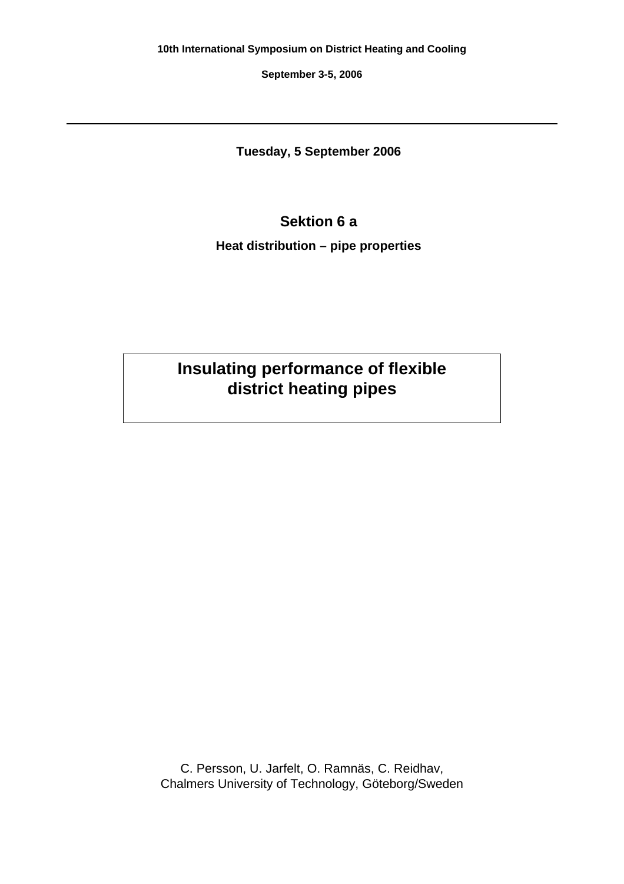**September 3-5, 2006**

**Tuesday, 5 September 2006**

# **Sektion 6 a**

**Heat distribution – pipe properties**

# **Insulating performance of flexible district heating pipes**

C. Persson, U. Jarfelt, O. Ramnäs, C. Reidhav, Chalmers University of Technology, Göteborg/Sweden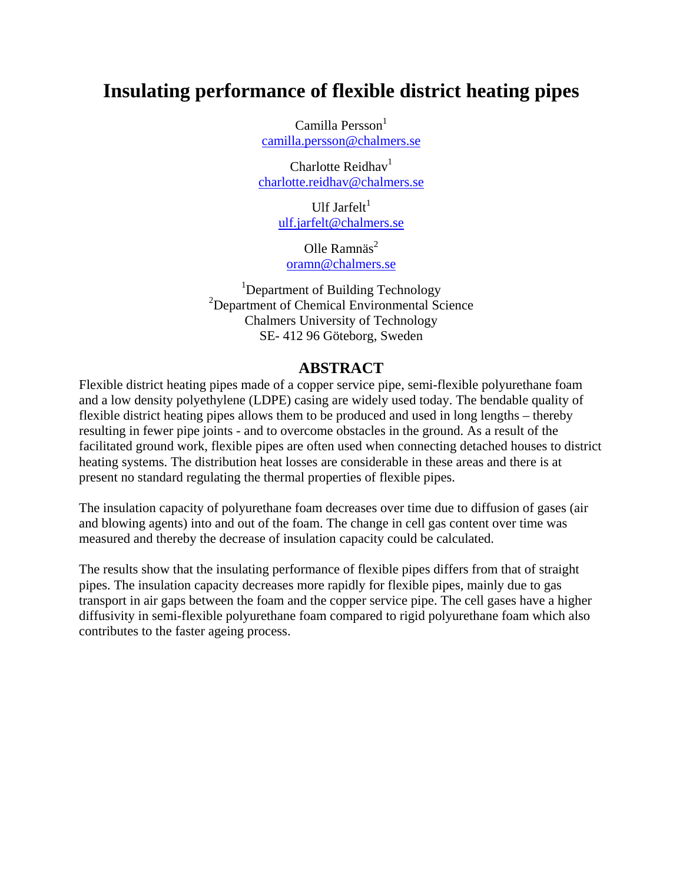# **Insulating performance of flexible district heating pipes**

 $Camilla$  Persson $<sup>1</sup>$ </sup> camilla.persson@chalmers.se

Charlotte Reidhav<sup>1</sup> charlotte.reidhav@chalmers.se

> Ulf Jarfelt $<sup>1</sup>$ </sup> ulf.jarfelt@chalmers.se

Olle Ramnäs $2$ oramn@chalmers.se

<sup>1</sup>Department of Building Technology <sup>2</sup>Department of Chemical Environmental Science Chalmers University of Technology SE- 412 96 Göteborg, Sweden

# **ABSTRACT**

Flexible district heating pipes made of a copper service pipe, semi-flexible polyurethane foam and a low density polyethylene (LDPE) casing are widely used today. The bendable quality of flexible district heating pipes allows them to be produced and used in long lengths – thereby resulting in fewer pipe joints - and to overcome obstacles in the ground. As a result of the facilitated ground work, flexible pipes are often used when connecting detached houses to district heating systems. The distribution heat losses are considerable in these areas and there is at present no standard regulating the thermal properties of flexible pipes.

The insulation capacity of polyurethane foam decreases over time due to diffusion of gases (air and blowing agents) into and out of the foam. The change in cell gas content over time was measured and thereby the decrease of insulation capacity could be calculated.

The results show that the insulating performance of flexible pipes differs from that of straight pipes. The insulation capacity decreases more rapidly for flexible pipes, mainly due to gas transport in air gaps between the foam and the copper service pipe. The cell gases have a higher diffusivity in semi-flexible polyurethane foam compared to rigid polyurethane foam which also contributes to the faster ageing process.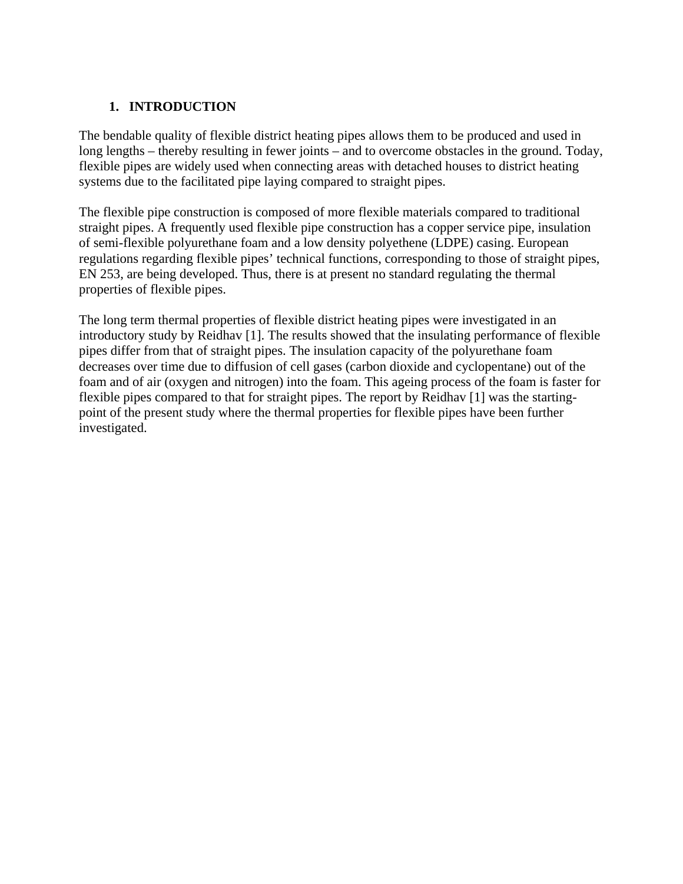# **1. INTRODUCTION**

The bendable quality of flexible district heating pipes allows them to be produced and used in long lengths – thereby resulting in fewer joints – and to overcome obstacles in the ground. Today, flexible pipes are widely used when connecting areas with detached houses to district heating systems due to the facilitated pipe laying compared to straight pipes.

The flexible pipe construction is composed of more flexible materials compared to traditional straight pipes. A frequently used flexible pipe construction has a copper service pipe, insulation of semi-flexible polyurethane foam and a low density polyethene (LDPE) casing. European regulations regarding flexible pipes' technical functions, corresponding to those of straight pipes, EN 253, are being developed. Thus, there is at present no standard regulating the thermal properties of flexible pipes.

The long term thermal properties of flexible district heating pipes were investigated in an introductory study by Reidhav [1]. The results showed that the insulating performance of flexible pipes differ from that of straight pipes. The insulation capacity of the polyurethane foam decreases over time due to diffusion of cell gases (carbon dioxide and cyclopentane) out of the foam and of air (oxygen and nitrogen) into the foam. This ageing process of the foam is faster for flexible pipes compared to that for straight pipes. The report by Reidhav [1] was the startingpoint of the present study where the thermal properties for flexible pipes have been further investigated.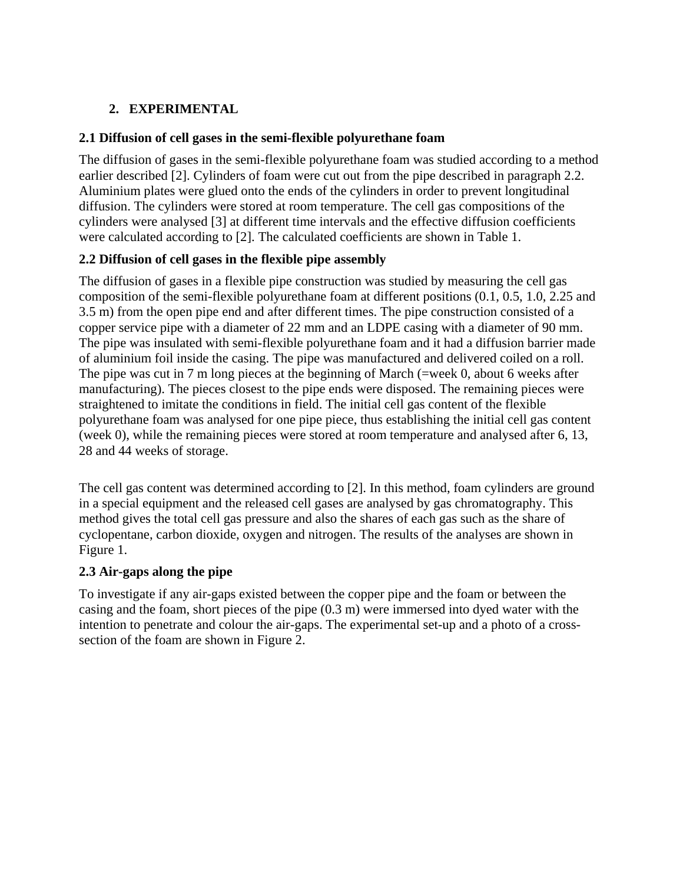# **2. EXPERIMENTAL**

#### **2.1 Diffusion of cell gases in the semi-flexible polyurethane foam**

The diffusion of gases in the semi-flexible polyurethane foam was studied according to a method earlier described [2]. Cylinders of foam were cut out from the pipe described in paragraph 2.2. Aluminium plates were glued onto the ends of the cylinders in order to prevent longitudinal diffusion. The cylinders were stored at room temperature. The cell gas compositions of the cylinders were analysed [3] at different time intervals and the effective diffusion coefficients were calculated according to [2]. The calculated coefficients are shown in Table 1.

# **2.2 Diffusion of cell gases in the flexible pipe assembly**

The diffusion of gases in a flexible pipe construction was studied by measuring the cell gas composition of the semi-flexible polyurethane foam at different positions (0.1, 0.5, 1.0, 2.25 and 3.5 m) from the open pipe end and after different times. The pipe construction consisted of a copper service pipe with a diameter of 22 mm and an LDPE casing with a diameter of 90 mm. The pipe was insulated with semi-flexible polyurethane foam and it had a diffusion barrier made of aluminium foil inside the casing. The pipe was manufactured and delivered coiled on a roll. The pipe was cut in 7 m long pieces at the beginning of March (=week 0, about 6 weeks after manufacturing). The pieces closest to the pipe ends were disposed. The remaining pieces were straightened to imitate the conditions in field. The initial cell gas content of the flexible polyurethane foam was analysed for one pipe piece, thus establishing the initial cell gas content (week 0), while the remaining pieces were stored at room temperature and analysed after 6, 13, 28 and 44 weeks of storage.

The cell gas content was determined according to [2]. In this method, foam cylinders are ground in a special equipment and the released cell gases are analysed by gas chromatography. This method gives the total cell gas pressure and also the shares of each gas such as the share of cyclopentane, carbon dioxide, oxygen and nitrogen. The results of the analyses are shown in Figure 1.

#### **2.3 Air-gaps along the pipe**

To investigate if any air-gaps existed between the copper pipe and the foam or between the casing and the foam, short pieces of the pipe (0.3 m) were immersed into dyed water with the intention to penetrate and colour the air-gaps. The experimental set-up and a photo of a crosssection of the foam are shown in Figure 2.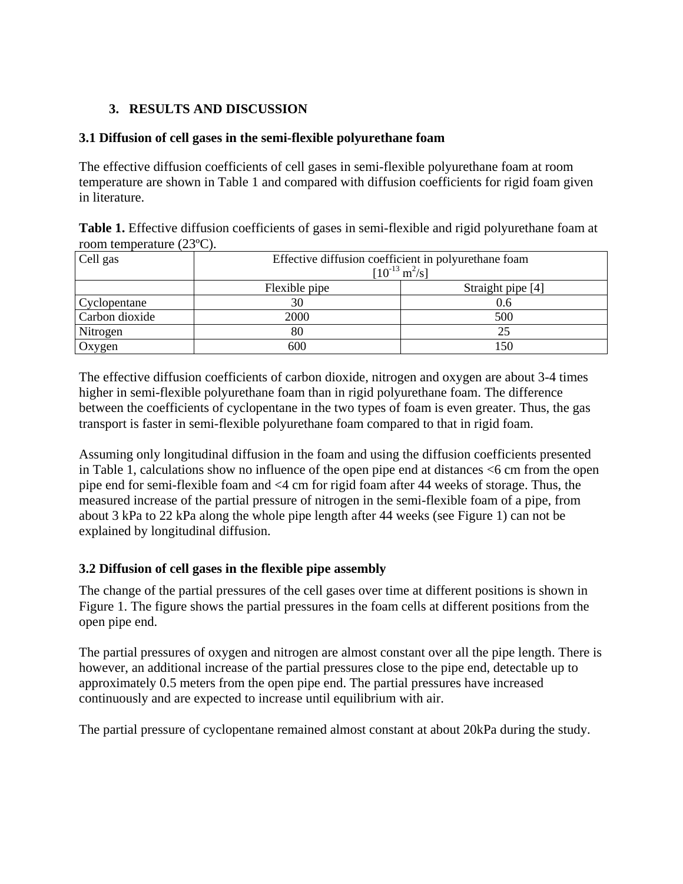# **3. RESULTS AND DISCUSSION**

#### **3.1 Diffusion of cell gases in the semi-flexible polyurethane foam**

The effective diffusion coefficients of cell gases in semi-flexible polyurethane foam at room temperature are shown in Table 1 and compared with diffusion coefficients for rigid foam given in literature.

| Table 1. Effective diffusion coefficients of gases in semi-flexible and rigid polyurethane foam at |  |  |  |  |
|----------------------------------------------------------------------------------------------------|--|--|--|--|
| room temperature $(23^{\circ}C)$ .                                                                 |  |  |  |  |

| Cell gas       | Effective diffusion coefficient in polyurethane foam<br>$[10^{-13} \text{ m}^2/\text{s}]$ |                   |  |  |  |
|----------------|-------------------------------------------------------------------------------------------|-------------------|--|--|--|
|                | Flexible pipe                                                                             | Straight pipe [4] |  |  |  |
| Cyclopentane   | 30                                                                                        | 0.6               |  |  |  |
| Carbon dioxide | 2000                                                                                      | 500               |  |  |  |
| Nitrogen       | 80                                                                                        | 25                |  |  |  |
| Oxygen         | 600                                                                                       | 150               |  |  |  |

The effective diffusion coefficients of carbon dioxide, nitrogen and oxygen are about 3-4 times higher in semi-flexible polyurethane foam than in rigid polyurethane foam. The difference between the coefficients of cyclopentane in the two types of foam is even greater. Thus, the gas transport is faster in semi-flexible polyurethane foam compared to that in rigid foam.

Assuming only longitudinal diffusion in the foam and using the diffusion coefficients presented in Table 1, calculations show no influence of the open pipe end at distances  $\leq 6$  cm from the open pipe end for semi-flexible foam and <4 cm for rigid foam after 44 weeks of storage. Thus, the measured increase of the partial pressure of nitrogen in the semi-flexible foam of a pipe, from about 3 kPa to 22 kPa along the whole pipe length after 44 weeks (see Figure 1) can not be explained by longitudinal diffusion.

#### **3.2 Diffusion of cell gases in the flexible pipe assembly**

The change of the partial pressures of the cell gases over time at different positions is shown in Figure 1. The figure shows the partial pressures in the foam cells at different positions from the open pipe end.

The partial pressures of oxygen and nitrogen are almost constant over all the pipe length. There is however, an additional increase of the partial pressures close to the pipe end, detectable up to approximately 0.5 meters from the open pipe end. The partial pressures have increased continuously and are expected to increase until equilibrium with air.

The partial pressure of cyclopentane remained almost constant at about 20kPa during the study.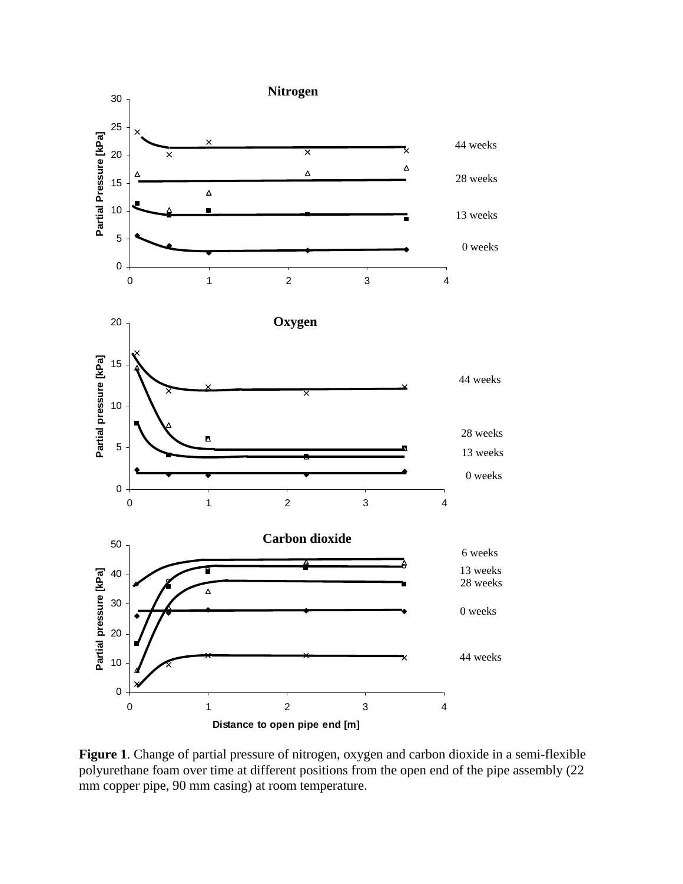

**Figure 1**. Change of partial pressure of nitrogen, oxygen and carbon dioxide in a semi-flexible polyurethane foam over time at different positions from the open end of the pipe assembly (22 mm copper pipe, 90 mm casing) at room temperature.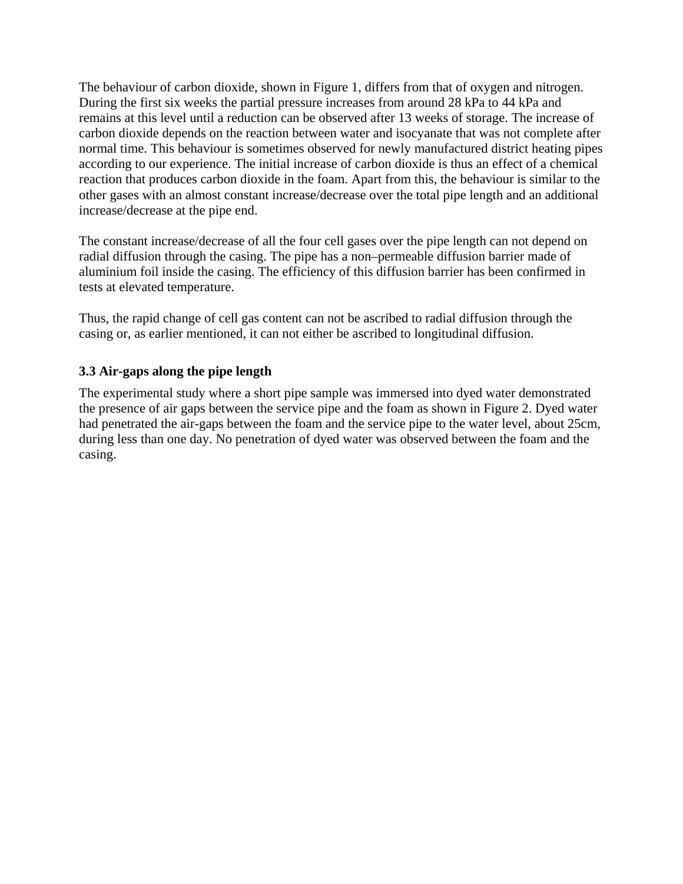The behaviour of carbon dioxide, shown in Figure 1, differs from that of oxygen and nitrogen. During the first six weeks the partial pressure increases from around 28 kPa to 44 kPa and remains at this level until a reduction can be observed after 13 weeks of storage. The increase of carbon dioxide depends on the reaction between water and isocyanate that was not complete after normal time. This behaviour is sometimes observed for newly manufactured district heating pipes according to our experience. The initial increase of carbon dioxide is thus an effect of a chemical reaction that produces carbon dioxide in the foam. Apart from this, the behaviour is similar to the other gases with an almost constant increase/decrease over the total pipe length and an additional increase/decrease at the pipe end.

The constant increase/decrease of all the four cell gases over the pipe length can not depend on radial diffusion through the casing. The pipe has a non–permeable diffusion barrier made of aluminium foil inside the casing. The efficiency of this diffusion barrier has been confirmed in tests at elevated temperature.

Thus, the rapid change of cell gas content can not be ascribed to radial diffusion through the casing or, as earlier mentioned, it can not either be ascribed to longitudinal diffusion.

# **3.3 Air-gaps along the pipe length**

The experimental study where a short pipe sample was immersed into dyed water demonstrated the presence of air gaps between the service pipe and the foam as shown in Figure 2. Dyed water had penetrated the air-gaps between the foam and the service pipe to the water level, about 25cm, during less than one day. No penetration of dyed water was observed between the foam and the casing.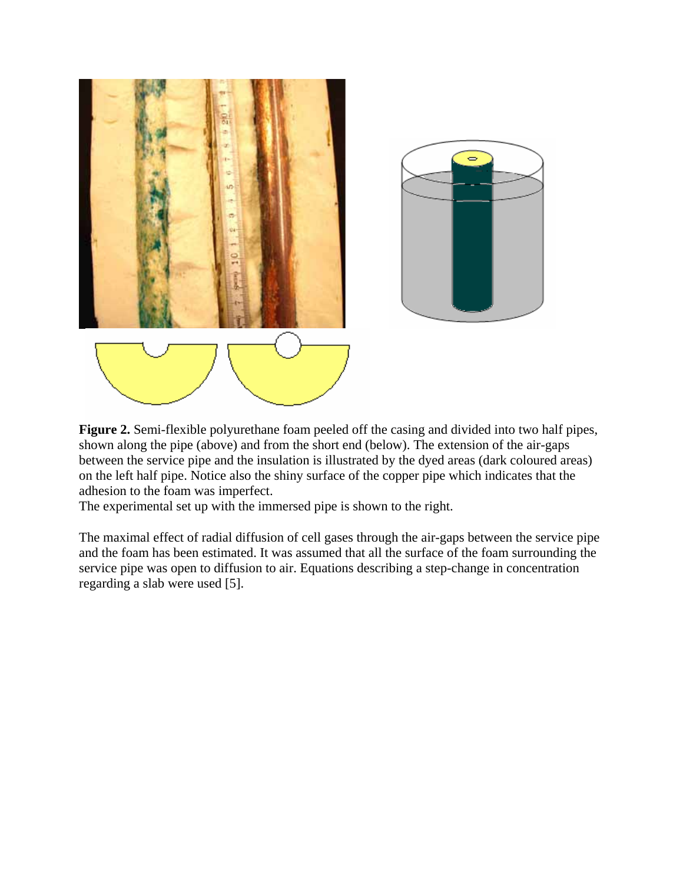



**Figure 2.** Semi-flexible polyurethane foam peeled off the casing and divided into two half pipes, shown along the pipe (above) and from the short end (below). The extension of the air-gaps between the service pipe and the insulation is illustrated by the dyed areas (dark coloured areas) on the left half pipe. Notice also the shiny surface of the copper pipe which indicates that the adhesion to the foam was imperfect.

The experimental set up with the immersed pipe is shown to the right.

The maximal effect of radial diffusion of cell gases through the air-gaps between the service pipe and the foam has been estimated. It was assumed that all the surface of the foam surrounding the service pipe was open to diffusion to air. Equations describing a step-change in concentration regarding a slab were used [5].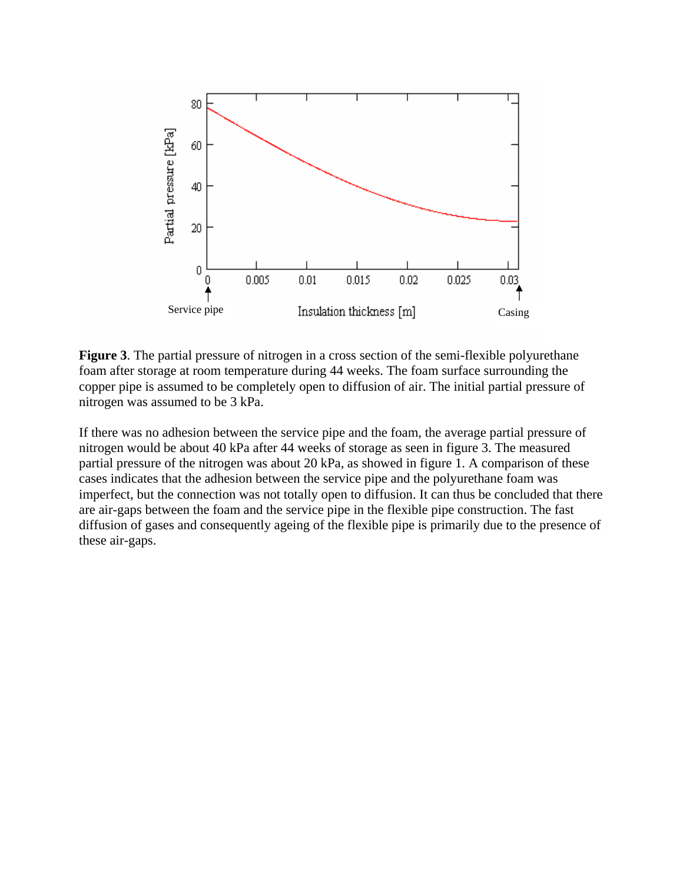

**Figure 3**. The partial pressure of nitrogen in a cross section of the semi-flexible polyurethane foam after storage at room temperature during 44 weeks. The foam surface surrounding the copper pipe is assumed to be completely open to diffusion of air. The initial partial pressure of nitrogen was assumed to be 3 kPa.

If there was no adhesion between the service pipe and the foam, the average partial pressure of nitrogen would be about 40 kPa after 44 weeks of storage as seen in figure 3. The measured partial pressure of the nitrogen was about 20 kPa, as showed in figure 1. A comparison of these cases indicates that the adhesion between the service pipe and the polyurethane foam was imperfect, but the connection was not totally open to diffusion. It can thus be concluded that there are air-gaps between the foam and the service pipe in the flexible pipe construction. The fast diffusion of gases and consequently ageing of the flexible pipe is primarily due to the presence of these air-gaps.